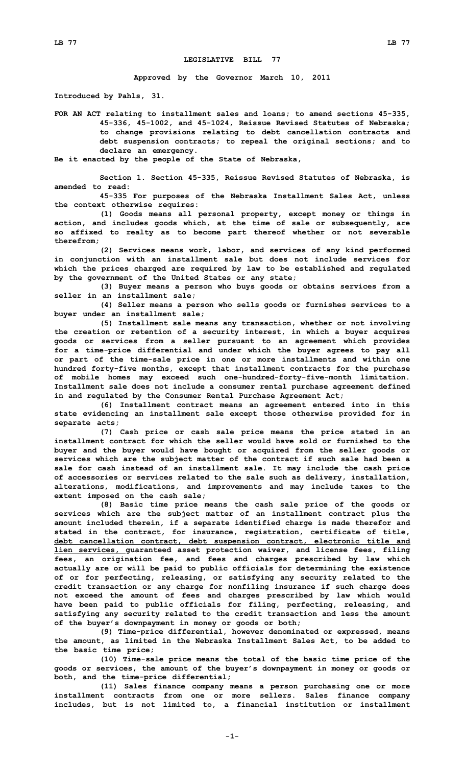## **LEGISLATIVE BILL 77**

**Approved by the Governor March 10, 2011**

**Introduced by Pahls, 31.**

**FOR AN ACT relating to installment sales and loans; to amend sections 45-335, 45-336, 45-1002, and 45-1024, Reissue Revised Statutes of Nebraska; to change provisions relating to debt cancellation contracts and debt suspension contracts; to repeal the original sections; and to declare an emergency.**

**Be it enacted by the people of the State of Nebraska,**

**Section 1. Section 45-335, Reissue Revised Statutes of Nebraska, is amended to read:**

**45-335 For purposes of the Nebraska Installment Sales Act, unless the context otherwise requires:**

**(1) Goods means all personal property, except money or things in action, and includes goods which, at the time of sale or subsequently, are so affixed to realty as to become part thereof whether or not severable therefrom;**

**(2) Services means work, labor, and services of any kind performed in conjunction with an installment sale but does not include services for which the prices charged are required by law to be established and regulated by the government of the United States or any state;**

**(3) Buyer means <sup>a</sup> person who buys goods or obtains services from <sup>a</sup> seller in an installment sale;**

**(4) Seller means <sup>a</sup> person who sells goods or furnishes services to <sup>a</sup> buyer under an installment sale;**

**(5) Installment sale means any transaction, whether or not involving the creation or retention of <sup>a</sup> security interest, in which <sup>a</sup> buyer acquires goods or services from <sup>a</sup> seller pursuant to an agreement which provides for <sup>a</sup> time-price differential and under which the buyer agrees to pay all or part of the time-sale price in one or more installments and within one hundred forty-five months, except that installment contracts for the purchase of mobile homes may exceed such one-hundred-forty-five-month limitation. Installment sale does not include <sup>a</sup> consumer rental purchase agreement defined in and regulated by the Consumer Rental Purchase Agreement Act;**

**(6) Installment contract means an agreement entered into in this state evidencing an installment sale except those otherwise provided for in separate acts;**

**(7) Cash price or cash sale price means the price stated in an installment contract for which the seller would have sold or furnished to the buyer and the buyer would have bought or acquired from the seller goods or services which are the subject matter of the contract if such sale had been <sup>a</sup> sale for cash instead of an installment sale. It may include the cash price of accessories or services related to the sale such as delivery, installation, alterations, modifications, and improvements and may include taxes to the extent imposed on the cash sale;**

**(8) Basic time price means the cash sale price of the goods or services which are the subject matter of an installment contract plus the amount included therein, if <sup>a</sup> separate identified charge is made therefor and stated in the contract, for insurance, registration, certificate of title, debt cancellation contract, debt suspension contract, electronic title and lien services, guaranteed asset protection waiver, and license fees, filing fees, an origination fee, and fees and charges prescribed by law which actually are or will be paid to public officials for determining the existence of or for perfecting, releasing, or satisfying any security related to the credit transaction or any charge for nonfiling insurance if such charge does not exceed the amount of fees and charges prescribed by law which would have been paid to public officials for filing, perfecting, releasing, and satisfying any security related to the credit transaction and less the amount of the buyer's downpayment in money or goods or both;**

**(9) Time-price differential, however denominated or expressed, means the amount, as limited in the Nebraska Installment Sales Act, to be added to the basic time price;**

**(10) Time-sale price means the total of the basic time price of the goods or services, the amount of the buyer's downpayment in money or goods or both, and the time-price differential;**

**(11) Sales finance company means <sup>a</sup> person purchasing one or more installment contracts from one or more sellers. Sales finance company includes, but is not limited to, <sup>a</sup> financial institution or installment**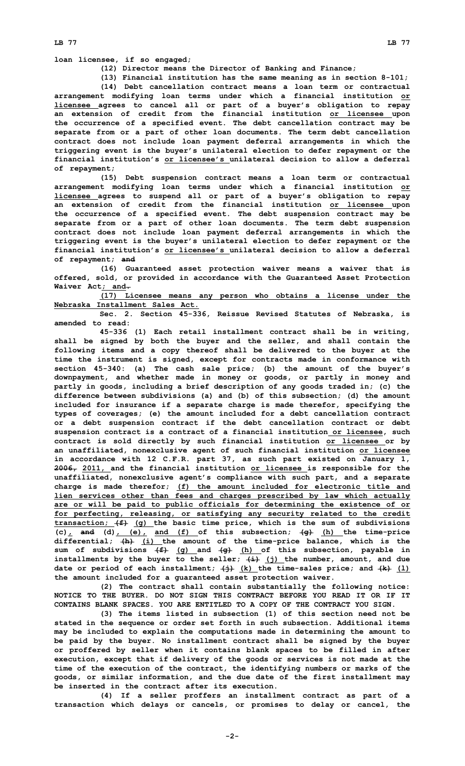**loan licensee, if so engaged;**

**(12) Director means the Director of Banking and Finance;**

**(13) Financial institution has the same meaning as in section 8-101; (14) Debt cancellation contract means <sup>a</sup> loan term or contractual arrangement modifying loan terms under which <sup>a</sup> financial institution or licensee agrees to cancel all or part of <sup>a</sup> buyer's obligation to repay an extension of credit from the financial institution or licensee upon the occurrence of <sup>a</sup> specified event. The debt cancellation contract may be separate from or <sup>a</sup> part of other loan documents. The term debt cancellation contract does not include loan payment deferral arrangements in which the triggering event is the buyer's unilateral election to defer repayment or the financial institution's or licensee's unilateral decision to allow a deferral of repayment;**

**(15) Debt suspension contract means <sup>a</sup> loan term or contractual arrangement modifying loan terms under which <sup>a</sup> financial institution or licensee agrees to suspend all or part of <sup>a</sup> buyer's obligation to repay an extension of credit from the financial institution or licensee upon the occurrence of <sup>a</sup> specified event. The debt suspension contract may be separate from or <sup>a</sup> part of other loan documents. The term debt suspension contract does not include loan payment deferral arrangements in which the triggering event is the buyer's unilateral election to defer repayment or the financial institution's or licensee's unilateral decision to allow a deferral of repayment; and**

**(16) Guaranteed asset protection waiver means <sup>a</sup> waiver that is offered, sold, or provided in accordance with the Guaranteed Asset Protection Waiver Act; and.**

**(17) Licensee means any person who obtains <sup>a</sup> license under the Nebraska Installment Sales Act.**

**Sec. 2. Section 45-336, Reissue Revised Statutes of Nebraska, is amended to read:**

**45-336 (1) Each retail installment contract shall be in writing, shall be signed by both the buyer and the seller, and shall contain the following items and <sup>a</sup> copy thereof shall be delivered to the buyer at the time the instrument is signed, except for contracts made in conformance with section 45-340: (a) The cash sale price; (b) the amount of the buyer's downpayment, and whether made in money or goods, or partly in money and partly in goods, including <sup>a</sup> brief description of any goods traded in; (c) the difference between subdivisions (a) and (b) of this subsection; (d) the amount included for insurance if <sup>a</sup> separate charge is made therefor, specifying the types of coverages; (e) the amount included for <sup>a</sup> debt cancellation contract or <sup>a</sup> debt suspension contract if the debt cancellation contract or debt suspension contract is <sup>a</sup> contract of <sup>a</sup> financial institution or licensee, such contract is sold directly by such financial institution or licensee or by an unaffiliated, nonexclusive agent of such financial institution or licensee in accordance with 12 C.F.R. part 37, as such part existed on January 1, 2006, 2011, and the financial institution or licensee is responsible for the unaffiliated, nonexclusive agent's compliance with such part, and <sup>a</sup> separate charge is made therefor; (f) the amount included for electronic title and lien services other than fees and charges prescribed by law which actually are or will be paid to public officials for determining the existence of or for perfecting, releasing, or satisfying any security related to the credit transaction; (f) (g) the basic time price, which is the sum of subdivisions (c), and (d), (e), and (f) of this subsection; (g) (h) the time-price differential; (h) (i) the amount of the time-price balance, which is the sum of subdivisions (f) (g) and (g) (h) of this subsection, payable in installments by the buyer to the seller; (i) (j) the number, amount, and due date or period of each installment; (j) (k) the time-sales price; and (k) (l) the amount included for <sup>a</sup> guaranteed asset protection waiver.**

**(2) The contract shall contain substantially the following notice: NOTICE TO THE BUYER. DO NOT SIGN THIS CONTRACT BEFORE YOU READ IT OR IF IT CONTAINS BLANK SPACES. YOU ARE ENTITLED TO A COPY OF THE CONTRACT YOU SIGN.**

**(3) The items listed in subsection (1) of this section need not be stated in the sequence or order set forth in such subsection. Additional items may be included to explain the computations made in determining the amount to be paid by the buyer. No installment contract shall be signed by the buyer or proffered by seller when it contains blank spaces to be filled in after execution, except that if delivery of the goods or services is not made at the time of the execution of the contract, the identifying numbers or marks of the goods, or similar information, and the due date of the first installment may be inserted in the contract after its execution.**

**(4) If <sup>a</sup> seller proffers an installment contract as part of <sup>a</sup> transaction which delays or cancels, or promises to delay or cancel, the**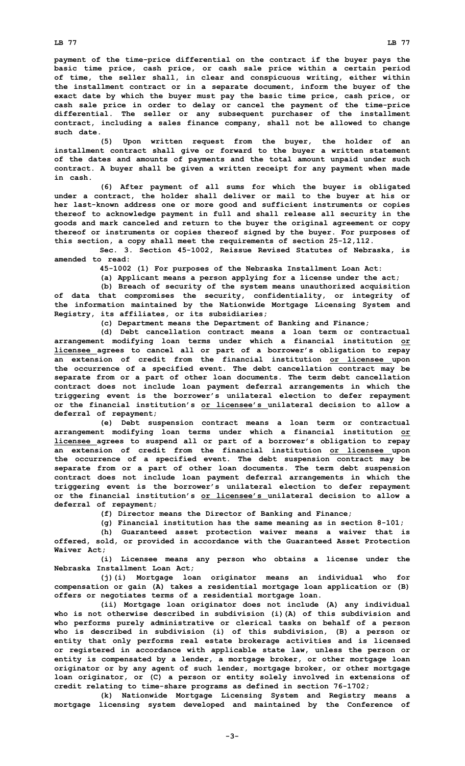**payment of the time-price differential on the contract if the buyer pays the basic time price, cash price, or cash sale price within <sup>a</sup> certain period of time, the seller shall, in clear and conspicuous writing, either within the installment contract or in <sup>a</sup> separate document, inform the buyer of the exact date by which the buyer must pay the basic time price, cash price, or cash sale price in order to delay or cancel the payment of the time-price differential. The seller or any subsequent purchaser of the installment contract, including <sup>a</sup> sales finance company, shall not be allowed to change such date.**

**(5) Upon written request from the buyer, the holder of an installment contract shall give or forward to the buyer <sup>a</sup> written statement of the dates and amounts of payments and the total amount unpaid under such contract. A buyer shall be given <sup>a</sup> written receipt for any payment when made in cash.**

**(6) After payment of all sums for which the buyer is obligated under <sup>a</sup> contract, the holder shall deliver or mail to the buyer at his or her last-known address one or more good and sufficient instruments or copies thereof to acknowledge payment in full and shall release all security in the goods and mark canceled and return to the buyer the original agreement or copy thereof or instruments or copies thereof signed by the buyer. For purposes of this section, <sup>a</sup> copy shall meet the requirements of section 25-12,112.**

**Sec. 3. Section 45-1002, Reissue Revised Statutes of Nebraska, is amended to read:**

**45-1002 (1) For purposes of the Nebraska Installment Loan Act:**

**(a) Applicant means <sup>a</sup> person applying for <sup>a</sup> license under the act;**

**(b) Breach of security of the system means unauthorized acquisition of data that compromises the security, confidentiality, or integrity of the information maintained by the Nationwide Mortgage Licensing System and Registry, its affiliates, or its subsidiaries;**

**(c) Department means the Department of Banking and Finance;**

**(d) Debt cancellation contract means <sup>a</sup> loan term or contractual arrangement modifying loan terms under which <sup>a</sup> financial institution or licensee agrees to cancel all or part of <sup>a</sup> borrower's obligation to repay an extension of credit from the financial institution or licensee upon the occurrence of <sup>a</sup> specified event. The debt cancellation contract may be separate from or <sup>a</sup> part of other loan documents. The term debt cancellation contract does not include loan payment deferral arrangements in which the triggering event is the borrower's unilateral election to defer repayment or the financial institution's or licensee's unilateral decision to allow a deferral of repayment;**

**(e) Debt suspension contract means <sup>a</sup> loan term or contractual arrangement modifying loan terms under which <sup>a</sup> financial institution or licensee agrees to suspend all or part of <sup>a</sup> borrower's obligation to repay an extension of credit from the financial institution or licensee upon the occurrence of <sup>a</sup> specified event. The debt suspension contract may be separate from or <sup>a</sup> part of other loan documents. The term debt suspension contract does not include loan payment deferral arrangements in which the triggering event is the borrower's unilateral election to defer repayment or the financial institution's or licensee's unilateral decision to allow a deferral of repayment;**

**(f) Director means the Director of Banking and Finance;**

**(g) Financial institution has the same meaning as in section 8-101;**

**(h) Guaranteed asset protection waiver means <sup>a</sup> waiver that is offered, sold, or provided in accordance with the Guaranteed Asset Protection Waiver Act;**

**(i) Licensee means any person who obtains <sup>a</sup> license under the Nebraska Installment Loan Act;**

**(j)(i) Mortgage loan originator means an individual who for compensation or gain (A) takes <sup>a</sup> residential mortgage loan application or (B) offers or negotiates terms of <sup>a</sup> residential mortgage loan.**

**(ii) Mortgage loan originator does not include (A) any individual who is not otherwise described in subdivision (i)(A) of this subdivision and who performs purely administrative or clerical tasks on behalf of <sup>a</sup> person who is described in subdivision (i) of this subdivision, (B) <sup>a</sup> person or entity that only performs real estate brokerage activities and is licensed or registered in accordance with applicable state law, unless the person or entity is compensated by <sup>a</sup> lender, <sup>a</sup> mortgage broker, or other mortgage loan originator or by any agent of such lender, mortgage broker, or other mortgage loan originator, or (C) <sup>a</sup> person or entity solely involved in extensions of credit relating to time-share programs as defined in section 76-1702;**

**(k) Nationwide Mortgage Licensing System and Registry means <sup>a</sup> mortgage licensing system developed and maintained by the Conference of**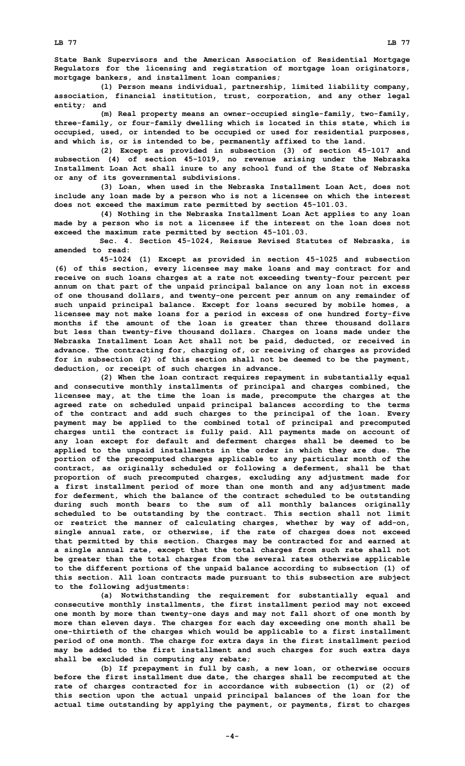**State Bank Supervisors and the American Association of Residential Mortgage Regulators for the licensing and registration of mortgage loan originators, mortgage bankers, and installment loan companies;**

**(l) Person means individual, partnership, limited liability company, association, financial institution, trust, corporation, and any other legal entity; and**

**(m) Real property means an owner-occupied single-family, two-family, three-family, or four-family dwelling which is located in this state, which is occupied, used, or intended to be occupied or used for residential purposes, and which is, or is intended to be, permanently affixed to the land.**

**(2) Except as provided in subsection (3) of section 45-1017 and subsection (4) of section 45-1019, no revenue arising under the Nebraska Installment Loan Act shall inure to any school fund of the State of Nebraska or any of its governmental subdivisions.**

**(3) Loan, when used in the Nebraska Installment Loan Act, does not include any loan made by <sup>a</sup> person who is not <sup>a</sup> licensee on which the interest does not exceed the maximum rate permitted by section 45-101.03.**

**(4) Nothing in the Nebraska Installment Loan Act applies to any loan made by <sup>a</sup> person who is not <sup>a</sup> licensee if the interest on the loan does not exceed the maximum rate permitted by section 45-101.03.**

**Sec. 4. Section 45-1024, Reissue Revised Statutes of Nebraska, is amended to read:**

**45-1024 (1) Except as provided in section 45-1025 and subsection (6) of this section, every licensee may make loans and may contract for and receive on such loans charges at <sup>a</sup> rate not exceeding twenty-four percent per annum on that part of the unpaid principal balance on any loan not in excess of one thousand dollars, and twenty-one percent per annum on any remainder of such unpaid principal balance. Except for loans secured by mobile homes, <sup>a</sup> licensee may not make loans for <sup>a</sup> period in excess of one hundred forty-five months if the amount of the loan is greater than three thousand dollars but less than twenty-five thousand dollars. Charges on loans made under the Nebraska Installment Loan Act shall not be paid, deducted, or received in advance. The contracting for, charging of, or receiving of charges as provided for in subsection (2) of this section shall not be deemed to be the payment, deduction, or receipt of such charges in advance.**

**(2) When the loan contract requires repayment in substantially equal and consecutive monthly installments of principal and charges combined, the licensee may, at the time the loan is made, precompute the charges at the agreed rate on scheduled unpaid principal balances according to the terms of the contract and add such charges to the principal of the loan. Every payment may be applied to the combined total of principal and precomputed charges until the contract is fully paid. All payments made on account of any loan except for default and deferment charges shall be deemed to be applied to the unpaid installments in the order in which they are due. The portion of the precomputed charges applicable to any particular month of the contract, as originally scheduled or following <sup>a</sup> deferment, shall be that proportion of such precomputed charges, excluding any adjustment made for <sup>a</sup> first installment period of more than one month and any adjustment made for deferment, which the balance of the contract scheduled to be outstanding during such month bears to the sum of all monthly balances originally scheduled to be outstanding by the contract. This section shall not limit or restrict the manner of calculating charges, whether by way of add-on, single annual rate, or otherwise, if the rate of charges does not exceed that permitted by this section. Charges may be contracted for and earned at <sup>a</sup> single annual rate, except that the total charges from such rate shall not be greater than the total charges from the several rates otherwise applicable to the different portions of the unpaid balance according to subsection (1) of this section. All loan contracts made pursuant to this subsection are subject to the following adjustments:**

**(a) Notwithstanding the requirement for substantially equal and consecutive monthly installments, the first installment period may not exceed one month by more than twenty-one days and may not fall short of one month by more than eleven days. The charges for each day exceeding one month shall be one-thirtieth of the charges which would be applicable to <sup>a</sup> first installment period of one month. The charge for extra days in the first installment period may be added to the first installment and such charges for such extra days shall be excluded in computing any rebate;**

**(b) If prepayment in full by cash, <sup>a</sup> new loan, or otherwise occurs before the first installment due date, the charges shall be recomputed at the rate of charges contracted for in accordance with subsection (1) or (2) of this section upon the actual unpaid principal balances of the loan for the actual time outstanding by applying the payment, or payments, first to charges**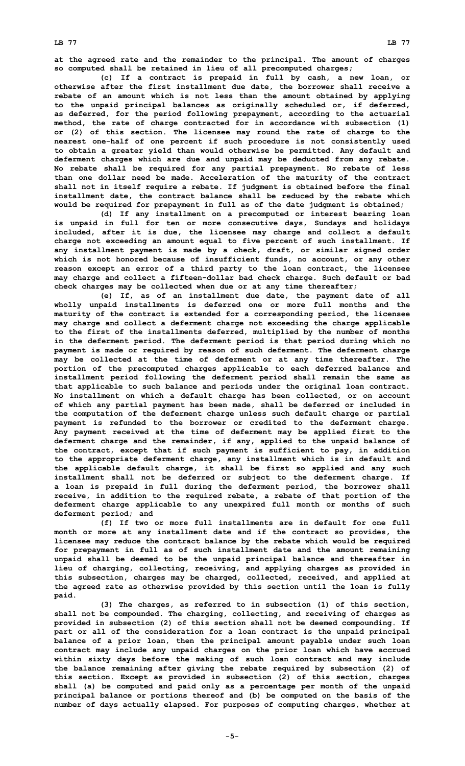**LB 77 LB 77**

**at the agreed rate and the remainder to the principal. The amount of charges so computed shall be retained in lieu of all precomputed charges;**

**(c) If <sup>a</sup> contract is prepaid in full by cash, <sup>a</sup> new loan, or otherwise after the first installment due date, the borrower shall receive <sup>a</sup> rebate of an amount which is not less than the amount obtained by applying to the unpaid principal balances as originally scheduled or, if deferred, as deferred, for the period following prepayment, according to the actuarial method, the rate of charge contracted for in accordance with subsection (1) or (2) of this section. The licensee may round the rate of charge to the nearest one-half of one percent if such procedure is not consistently used to obtain <sup>a</sup> greater yield than would otherwise be permitted. Any default and deferment charges which are due and unpaid may be deducted from any rebate. No rebate shall be required for any partial prepayment. No rebate of less than one dollar need be made. Acceleration of the maturity of the contract shall not in itself require <sup>a</sup> rebate. If judgment is obtained before the final installment date, the contract balance shall be reduced by the rebate which would be required for prepayment in full as of the date judgment is obtained;**

**(d) If any installment on <sup>a</sup> precomputed or interest bearing loan is unpaid in full for ten or more consecutive days, Sundays and holidays included, after it is due, the licensee may charge and collect <sup>a</sup> default charge not exceeding an amount equal to five percent of such installment. If any installment payment is made by <sup>a</sup> check, draft, or similar signed order which is not honored because of insufficient funds, no account, or any other reason except an error of <sup>a</sup> third party to the loan contract, the licensee may charge and collect <sup>a</sup> fifteen-dollar bad check charge. Such default or bad check charges may be collected when due or at any time thereafter;**

**(e) If, as of an installment due date, the payment date of all wholly unpaid installments is deferred one or more full months and the maturity of the contract is extended for <sup>a</sup> corresponding period, the licensee may charge and collect <sup>a</sup> deferment charge not exceeding the charge applicable to the first of the installments deferred, multiplied by the number of months in the deferment period. The deferment period is that period during which no payment is made or required by reason of such deferment. The deferment charge may be collected at the time of deferment or at any time thereafter. The portion of the precomputed charges applicable to each deferred balance and installment period following the deferment period shall remain the same as that applicable to such balance and periods under the original loan contract. No installment on which <sup>a</sup> default charge has been collected, or on account of which any partial payment has been made, shall be deferred or included in the computation of the deferment charge unless such default charge or partial payment is refunded to the borrower or credited to the deferment charge. Any payment received at the time of deferment may be applied first to the deferment charge and the remainder, if any, applied to the unpaid balance of the contract, except that if such payment is sufficient to pay, in addition to the appropriate deferment charge, any installment which is in default and the applicable default charge, it shall be first so applied and any such installment shall not be deferred or subject to the deferment charge. If <sup>a</sup> loan is prepaid in full during the deferment period, the borrower shall receive, in addition to the required rebate, <sup>a</sup> rebate of that portion of the deferment charge applicable to any unexpired full month or months of such deferment period; and**

**(f) If two or more full installments are in default for one full month or more at any installment date and if the contract so provides, the licensee may reduce the contract balance by the rebate which would be required for prepayment in full as of such installment date and the amount remaining unpaid shall be deemed to be the unpaid principal balance and thereafter in lieu of charging, collecting, receiving, and applying charges as provided in this subsection, charges may be charged, collected, received, and applied at the agreed rate as otherwise provided by this section until the loan is fully paid.**

**(3) The charges, as referred to in subsection (1) of this section, shall not be compounded. The charging, collecting, and receiving of charges as provided in subsection (2) of this section shall not be deemed compounding. If part or all of the consideration for <sup>a</sup> loan contract is the unpaid principal balance of <sup>a</sup> prior loan, then the principal amount payable under such loan contract may include any unpaid charges on the prior loan which have accrued within sixty days before the making of such loan contract and may include the balance remaining after giving the rebate required by subsection (2) of this section. Except as provided in subsection (2) of this section, charges shall (a) be computed and paid only as <sup>a</sup> percentage per month of the unpaid principal balance or portions thereof and (b) be computed on the basis of the number of days actually elapsed. For purposes of computing charges, whether at**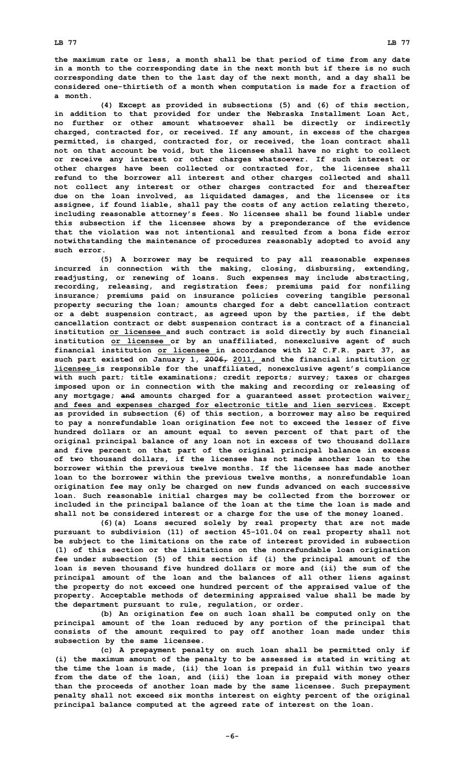**the maximum rate or less, <sup>a</sup> month shall be that period of time from any date in <sup>a</sup> month to the corresponding date in the next month but if there is no such corresponding date then to the last day of the next month, and <sup>a</sup> day shall be considered one-thirtieth of <sup>a</sup> month when computation is made for <sup>a</sup> fraction of a month.**

**(4) Except as provided in subsections (5) and (6) of this section, in addition to that provided for under the Nebraska Installment Loan Act, no further or other amount whatsoever shall be directly or indirectly charged, contracted for, or received. If any amount, in excess of the charges permitted, is charged, contracted for, or received, the loan contract shall not on that account be void, but the licensee shall have no right to collect or receive any interest or other charges whatsoever. If such interest or other charges have been collected or contracted for, the licensee shall refund to the borrower all interest and other charges collected and shall not collect any interest or other charges contracted for and thereafter due on the loan involved, as liquidated damages, and the licensee or its assignee, if found liable, shall pay the costs of any action relating thereto, including reasonable attorney's fees. No licensee shall be found liable under this subsection if the licensee shows by <sup>a</sup> preponderance of the evidence that the violation was not intentional and resulted from a bona fide error notwithstanding the maintenance of procedures reasonably adopted to avoid any such error.**

**(5) <sup>A</sup> borrower may be required to pay all reasonable expenses incurred in connection with the making, closing, disbursing, extending, readjusting, or renewing of loans. Such expenses may include abstracting, recording, releasing, and registration fees; premiums paid for nonfiling insurance; premiums paid on insurance policies covering tangible personal property securing the loan; amounts charged for <sup>a</sup> debt cancellation contract or <sup>a</sup> debt suspension contract, as agreed upon by the parties, if the debt cancellation contract or debt suspension contract is <sup>a</sup> contract of <sup>a</sup> financial institution or licensee and such contract is sold directly by such financial institution or licensee or by an unaffiliated, nonexclusive agent of such financial institution or licensee in accordance with 12 C.F.R. part 37, as such part existed on January 1, 2006, 2011, and the financial institution or licensee is responsible for the unaffiliated, nonexclusive agent's compliance with such part; title examinations; credit reports; survey; taxes or charges imposed upon or in connection with the making and recording or releasing of any mortgage; and amounts charged for <sup>a</sup> guaranteed asset protection waiver; and fees and expenses charged for electronic title and lien services. Except as provided in subsection (6) of this section, <sup>a</sup> borrower may also be required to pay <sup>a</sup> nonrefundable loan origination fee not to exceed the lesser of five hundred dollars or an amount equal to seven percent of that part of the original principal balance of any loan not in excess of two thousand dollars and five percent on that part of the original principal balance in excess of two thousand dollars, if the licensee has not made another loan to the borrower within the previous twelve months. If the licensee has made another loan to the borrower within the previous twelve months, <sup>a</sup> nonrefundable loan origination fee may only be charged on new funds advanced on each successive loan. Such reasonable initial charges may be collected from the borrower or included in the principal balance of the loan at the time the loan is made and shall not be considered interest or <sup>a</sup> charge for the use of the money loaned.**

**(6)(a) Loans secured solely by real property that are not made pursuant to subdivision (11) of section 45-101.04 on real property shall not be subject to the limitations on the rate of interest provided in subsection (1) of this section or the limitations on the nonrefundable loan origination fee under subsection (5) of this section if (i) the principal amount of the loan is seven thousand five hundred dollars or more and (ii) the sum of the principal amount of the loan and the balances of all other liens against the property do not exceed one hundred percent of the appraised value of the property. Acceptable methods of determining appraised value shall be made by the department pursuant to rule, regulation, or order.**

**(b) An origination fee on such loan shall be computed only on the principal amount of the loan reduced by any portion of the principal that consists of the amount required to pay off another loan made under this subsection by the same licensee.**

**(c) <sup>A</sup> prepayment penalty on such loan shall be permitted only if (i) the maximum amount of the penalty to be assessed is stated in writing at the time the loan is made, (ii) the loan is prepaid in full within two years from the date of the loan, and (iii) the loan is prepaid with money other than the proceeds of another loan made by the same licensee. Such prepayment penalty shall not exceed six months interest on eighty percent of the original principal balance computed at the agreed rate of interest on the loan.**